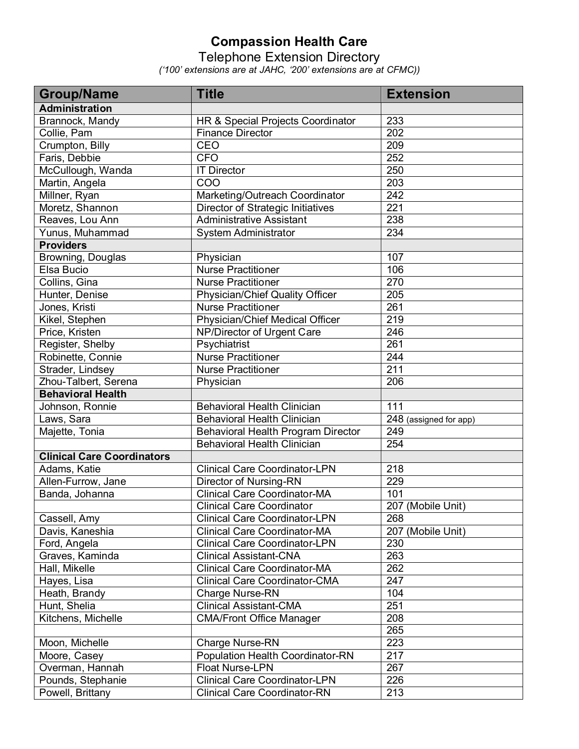## **Compassion Health Care**

Telephone Extension Directory

*('100' extensions are at JAHC, '200' extensions are at CFMC))* 

| <b>Group/Name</b>                 | <b>Title</b>                              | <b>Extension</b>       |
|-----------------------------------|-------------------------------------------|------------------------|
| <b>Administration</b>             |                                           |                        |
| Brannock, Mandy                   | HR & Special Projects Coordinator         | 233                    |
| Collie, Pam                       | <b>Finance Director</b>                   | 202                    |
| Crumpton, Billy                   | CEO                                       | 209                    |
| Faris, Debbie                     | <b>CFO</b>                                | 252                    |
| McCullough, Wanda                 | <b>IT Director</b>                        | 250                    |
| Martin, Angela                    | COO                                       | $\overline{203}$       |
| Millner, Ryan                     | Marketing/Outreach Coordinator            | 242                    |
| Moretz, Shannon                   | <b>Director of Strategic Initiatives</b>  | 221                    |
| Reaves, Lou Ann                   | <b>Administrative Assistant</b>           | 238                    |
| Yunus, Muhammad                   | <b>System Administrator</b>               | 234                    |
| <b>Providers</b>                  |                                           |                        |
| Browning, Douglas                 | Physician                                 | 107                    |
| Elsa Bucio                        | <b>Nurse Practitioner</b>                 | 106                    |
| Collins, Gina                     | <b>Nurse Practitioner</b>                 | 270                    |
| Hunter, Denise                    | <b>Physician/Chief Quality Officer</b>    | 205                    |
| Jones, Kristi                     | <b>Nurse Practitioner</b>                 | 261                    |
| Kikel, Stephen                    | Physician/Chief Medical Officer           | 219                    |
| Price, Kristen                    | NP/Director of Urgent Care                | 246                    |
| Register, Shelby                  | Psychiatrist                              | 261                    |
| Robinette, Connie                 | Nurse Practitioner                        | 244                    |
| Strader, Lindsey                  | <b>Nurse Practitioner</b>                 | $\overline{211}$       |
| Zhou-Talbert, Serena              | Physician                                 | 206                    |
| <b>Behavioral Health</b>          |                                           |                        |
| Johnson, Ronnie                   | <b>Behavioral Health Clinician</b>        | 111                    |
| Laws, Sara                        | <b>Behavioral Health Clinician</b>        | 248 (assigned for app) |
| Majette, Tonia                    | <b>Behavioral Health Program Director</b> | 249                    |
|                                   | <b>Behavioral Health Clinician</b>        | 254                    |
| <b>Clinical Care Coordinators</b> |                                           |                        |
| Adams, Katie                      | <b>Clinical Care Coordinator-LPN</b>      | 218                    |
| Allen-Furrow, Jane                | <b>Director of Nursing-RN</b>             | 229                    |
| Banda, Johanna                    | <b>Clinical Care Coordinator-MA</b>       | 101                    |
|                                   | <b>Clinical Care Coordinator</b>          | 207 (Mobile Unit)      |
| Cassell, Amy                      | <b>Clinical Care Coordinator-LPN</b>      | 268                    |
| Davis, Kaneshia                   | <b>Clinical Care Coordinator-MA</b>       | 207 (Mobile Unit)      |
| Ford, Angela                      | <b>Clinical Care Coordinator-LPN</b>      | 230                    |
| Graves, Kaminda                   | <b>Clinical Assistant-CNA</b>             | 263                    |
| Hall, Mikelle                     | <b>Clinical Care Coordinator-MA</b>       | 262                    |
| Hayes, Lisa                       | <b>Clinical Care Coordinator-CMA</b>      | 247                    |
| Heath, Brandy                     | <b>Charge Nurse-RN</b>                    | 104                    |
| Hunt, Shelia                      | <b>Clinical Assistant-CMA</b>             | 251                    |
| Kitchens, Michelle                | <b>CMA/Front Office Manager</b>           | 208                    |
|                                   |                                           | 265                    |
| Moon, Michelle                    | <b>Charge Nurse-RN</b>                    | 223                    |
| Moore, Casey                      | <b>Population Health Coordinator-RN</b>   | 217                    |
| Overman, Hannah                   | Float Nurse-LPN                           | 267                    |
| Pounds, Stephanie                 | <b>Clinical Care Coordinator-LPN</b>      | 226                    |
| Powell, Brittany                  | <b>Clinical Care Coordinator-RN</b>       | 213                    |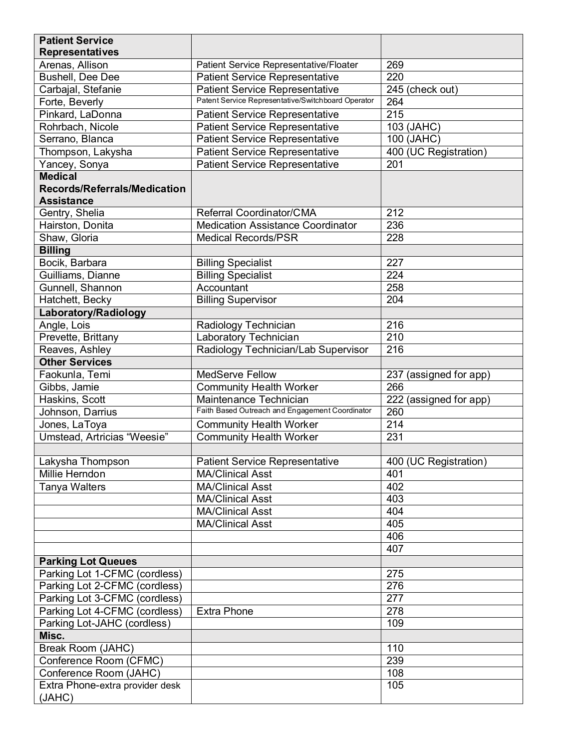| <b>Patient Service</b><br><b>Representatives</b> |                                                                           |                                     |
|--------------------------------------------------|---------------------------------------------------------------------------|-------------------------------------|
| Arenas, Allison                                  | Patient Service Representative/Floater                                    | 269                                 |
| Bushell, Dee Dee                                 | <b>Patient Service Representative</b>                                     | 220                                 |
| Carbajal, Stefanie                               | <b>Patient Service Representative</b>                                     | 245 (check out)                     |
| Forte, Beverly                                   | Patent Service Representative/Switchboard Operator                        | 264                                 |
| Pinkard, LaDonna                                 | <b>Patient Service Representative</b>                                     | 215                                 |
| Rohrbach, Nicole                                 | <b>Patient Service Representative</b>                                     | 103 (JAHC)                          |
| Serrano, Blanca                                  | <b>Patient Service Representative</b>                                     | 100 (JAHC)                          |
| Thompson, Lakysha                                | <b>Patient Service Representative</b>                                     | 400 (UC Registration)               |
| Yancey, Sonya                                    | <b>Patient Service Representative</b>                                     | 201                                 |
| <b>Medical</b>                                   |                                                                           |                                     |
| <b>Records/Referrals/Medication</b>              |                                                                           |                                     |
| <b>Assistance</b>                                |                                                                           |                                     |
| Gentry, Shelia                                   | Referral Coordinator/CMA                                                  | 212                                 |
| Hairston, Donita                                 | <b>Medication Assistance Coordinator</b>                                  | 236                                 |
| Shaw, Gloria                                     | <b>Medical Records/PSR</b>                                                | 228                                 |
| <b>Billing</b>                                   |                                                                           |                                     |
| Bocik, Barbara                                   | <b>Billing Specialist</b>                                                 | 227                                 |
|                                                  |                                                                           | 224                                 |
| Guilliams, Dianne                                | <b>Billing Specialist</b><br>Accountant                                   | 258                                 |
| Gunnell, Shannon                                 |                                                                           |                                     |
| Hatchett, Becky                                  | <b>Billing Supervisor</b>                                                 | 204                                 |
| Laboratory/Radiology                             |                                                                           |                                     |
| Angle, Lois                                      | Radiology Technician                                                      | 216                                 |
| Prevette, Brittany                               | Laboratory Technician                                                     | $\overline{210}$                    |
| Reaves, Ashley                                   | Radiology Technician/Lab Supervisor                                       | 216                                 |
| <b>Other Services</b>                            |                                                                           |                                     |
| Faokunla, Temi                                   | <b>MedServe Fellow</b>                                                    | 237 (assigned for app)              |
| Gibbs, Jamie                                     | <b>Community Health Worker</b>                                            | 266                                 |
| Haskins, Scott                                   | Maintenance Technician<br>Faith Based Outreach and Engagement Coordinator | $\overline{22}2$ (assigned for app) |
| Johnson, Darrius                                 |                                                                           | 260                                 |
| Jones, LaToya                                    | <b>Community Health Worker</b>                                            | 214                                 |
| Umstead, Artricias "Weesie"                      | <b>Community Health Worker</b>                                            | 231                                 |
|                                                  |                                                                           |                                     |
| Lakysha Thompson                                 | <b>Patient Service Representative</b>                                     | 400 (UC Registration)               |
| Millie Herndon                                   | <b>MA/Clinical Asst</b>                                                   | 401                                 |
| <b>Tanya Walters</b>                             | <b>MA/Clinical Asst</b>                                                   | 402                                 |
|                                                  | <b>MA/Clinical Asst</b>                                                   | 403                                 |
|                                                  | MA/Clinical Asst                                                          | 404                                 |
|                                                  | <b>MA/Clinical Asst</b>                                                   | 405                                 |
|                                                  |                                                                           | 406                                 |
|                                                  |                                                                           | 407                                 |
| <b>Parking Lot Queues</b>                        |                                                                           |                                     |
| Parking Lot 1-CFMC (cordless)                    |                                                                           | 275                                 |
| Parking Lot 2-CFMC (cordless)                    |                                                                           | 276                                 |
| Parking Lot 3-CFMC (cordless)                    |                                                                           | 277                                 |
| Parking Lot 4-CFMC (cordless)                    | <b>Extra Phone</b>                                                        | 278                                 |
| Parking Lot-JAHC (cordless)                      |                                                                           | 109                                 |
| Misc.                                            |                                                                           |                                     |
| Break Room (JAHC)                                |                                                                           | 110                                 |
| Conference Room (CFMC)                           |                                                                           | 239                                 |
| Conference Room (JAHC)                           |                                                                           | 108                                 |
| Extra Phone-extra provider desk                  |                                                                           | 105                                 |
| (JAHC)                                           |                                                                           |                                     |